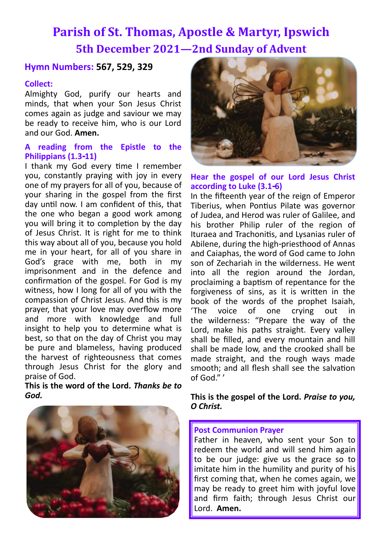# **Parish of St. Thomas, Apostle & Martyr, Ipswich 5th December 2021—2nd Sunday of Advent**

## **Hymn Numbers: 567, 529, 329**

## **Collect:**

Almighty God, purify our hearts and minds, that when your Son Jesus Christ comes again as judge and saviour we may be ready to receive him, who is our Lord and our God. **Amen.**

## **A reading from the Epistle to the Philippians (1.3-11)**

I thank my God every time I remember you, constantly praying with joy in every one of my prayers for all of you, because of your sharing in the gospel from the first day until now. I am confident of this, that the one who began a good work among you will bring it to completion by the day of Jesus Christ. It is right for me to think this way about all of you, because you hold me in your heart, for all of you share in God's grace with me, both in my imprisonment and in the defence and confirmation of the gospel. For God is my witness, how I long for all of you with the compassion of Christ Jesus. And this is my prayer, that your love may overflow more and more with knowledge and full insight to help you to determine what is best, so that on the day of Christ you may be pure and blameless, having produced the harvest of righteousness that comes through Jesus Christ for the glory and praise of God.

**This is the word of the Lord.** *Thanks be to God.*





## **Hear the gospel of our Lord Jesus Christ according to Luke (3.1-6)**

In the fifteenth year of the reign of Emperor Tiberius, when Pontius Pilate was governor of Judea, and Herod was ruler of Galilee, and his brother Philip ruler of the region of Ituraea and Trachonitis, and Lysanias ruler of Abilene, during the high-priesthood of Annas and Caiaphas, the word of God came to John son of Zechariah in the wilderness. He went into all the region around the Jordan, proclaiming a baptism of repentance for the forgiveness of sins, as it is written in the book of the words of the prophet Isaiah, 'The voice of one crying out in the wilderness: "Prepare the way of the Lord, make his paths straight. Every valley shall be filled, and every mountain and hill shall be made low, and the crooked shall be made straight, and the rough ways made smooth; and all flesh shall see the salvation of God." '

### **This is the gospel of the Lord.** *Praise to you, O Christ.*

#### **Post Communion Prayer**

Father in heaven, who sent your Son to redeem the world and will send him again to be our judge: give us the grace so to imitate him in the humility and purity of his first coming that, when he comes again, we may be ready to greet him with joyful love and firm faith; through Jesus Christ our Lord. **Amen.**